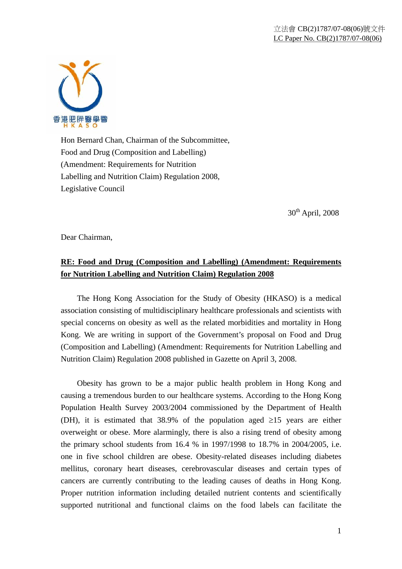

Hon Bernard Chan, Chairman of the Subcommittee, Food and Drug (Composition and Labelling) (Amendment: Requirements for Nutrition Labelling and Nutrition Claim) Regulation 2008, Legislative Council

30<sup>th</sup> April, 2008

Dear Chairman,

## **RE: Food and Drug (Composition and Labelling) (Amendment: Requirements for Nutrition Labelling and Nutrition Claim) Regulation 2008**

 The Hong Kong Association for the Study of Obesity (HKASO) is a medical association consisting of multidisciplinary healthcare professionals and scientists with special concerns on obesity as well as the related morbidities and mortality in Hong Kong. We are writing in support of the Government's proposal on Food and Drug (Composition and Labelling) (Amendment: Requirements for Nutrition Labelling and Nutrition Claim) Regulation 2008 published in Gazette on April 3, 2008.

 Obesity has grown to be a major public health problem in Hong Kong and causing a tremendous burden to our healthcare systems. According to the Hong Kong Population Health Survey 2003/2004 commissioned by the Department of Health (DH), it is estimated that 38.9% of the population aged  $\geq 15$  years are either overweight or obese. More alarmingly, there is also a rising trend of obesity among the primary school students from 16.4 % in 1997/1998 to 18.7% in 2004/2005, i.e. one in five school children are obese. Obesity-related diseases including diabetes mellitus, coronary heart diseases, cerebrovascular diseases and certain types of cancers are currently contributing to the leading causes of deaths in Hong Kong. Proper nutrition information including detailed nutrient contents and scientifically supported nutritional and functional claims on the food labels can facilitate the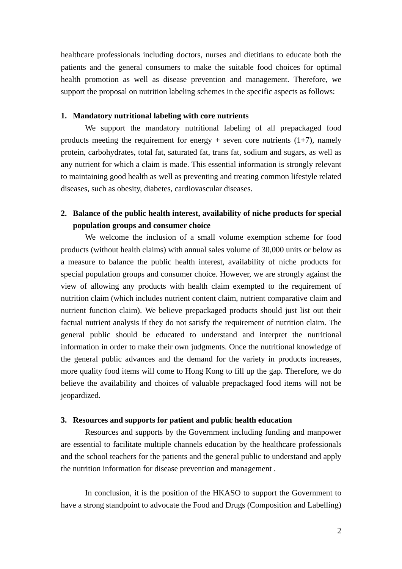healthcare professionals including doctors, nurses and dietitians to educate both the patients and the general consumers to make the suitable food choices for optimal health promotion as well as disease prevention and management. Therefore, we support the proposal on nutrition labeling schemes in the specific aspects as follows:

## **1. Mandatory nutritional labeling with core nutrients**

We support the mandatory nutritional labeling of all prepackaged food products meeting the requirement for energy  $+$  seven core nutrients (1+7), namely protein, carbohydrates, total fat, saturated fat, trans fat, sodium and sugars, as well as any nutrient for which a claim is made. This essential information is strongly relevant to maintaining good health as well as preventing and treating common lifestyle related diseases, such as obesity, diabetes, cardiovascular diseases.

## **2. Balance of the public health interest, availability of niche products for special population groups and consumer choice**

We welcome the inclusion of a small volume exemption scheme for food products (without health claims) with annual sales volume of 30,000 units or below as a measure to balance the public health interest, availability of niche products for special population groups and consumer choice. However, we are strongly against the view of allowing any products with health claim exempted to the requirement of nutrition claim (which includes nutrient content claim, nutrient comparative claim and nutrient function claim). We believe prepackaged products should just list out their factual nutrient analysis if they do not satisfy the requirement of nutrition claim. The general public should be educated to understand and interpret the nutritional information in order to make their own judgments. Once the nutritional knowledge of the general public advances and the demand for the variety in products increases, more quality food items will come to Hong Kong to fill up the gap. Therefore, we do believe the availability and choices of valuable prepackaged food items will not be jeopardized.

## **3. Resources and supports for patient and public health education**

Resources and supports by the Government including funding and manpower are essential to facilitate multiple channels education by the healthcare professionals and the school teachers for the patients and the general public to understand and apply the nutrition information for disease prevention and management .

In conclusion, it is the position of the HKASO to support the Government to have a strong standpoint to advocate the Food and Drugs (Composition and Labelling)